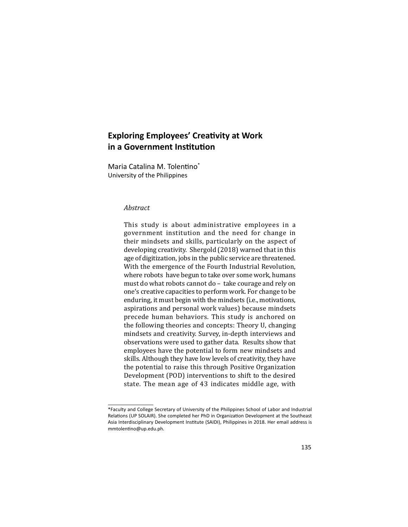## **Exploring Employees' Creativity at Work in a Government Institution**

Maria Catalina M. Tolentino<sup>\*</sup> University of the Philippines

## *Abstract*

This study is about administrative employees in a government institution and the need for change in their mindsets and skills, particularly on the aspect of developing creativity. Shergold (2018) warned that in this age of digitization, jobs in the public service are threatened. With the emergence of the Fourth Industrial Revolution, where robots have begun to take over some work, humans must do what robots cannot do – take courage and rely on one's creative capacities to perform work. For change to be enduring, it must begin with the mindsets (i.e., motivations, aspirations and personal work values) because mindsets precede human behaviors. This study is anchored on the following theories and concepts: Theory U, changing mindsets and creativity. Survey, in-depth interviews and observations were used to gather data. Results show that employees have the potential to form new mindsets and skills. Although they have low levels of creativity, they have the potential to raise this through Positive Organization Development (POD) interventions to shift to the desired state. The mean age of 43 indicates middle age, with

<sup>\*</sup>Faculty and College Secretary of University of the Philippines School of Labor and Industrial Relations (UP SOLAIR). She completed her PhD in Organization Development at the Southeast Asia Interdisciplinary Development Institute (SAIDI), Philippines in 2018. Her email address is mmtolentino@up.edu.ph.